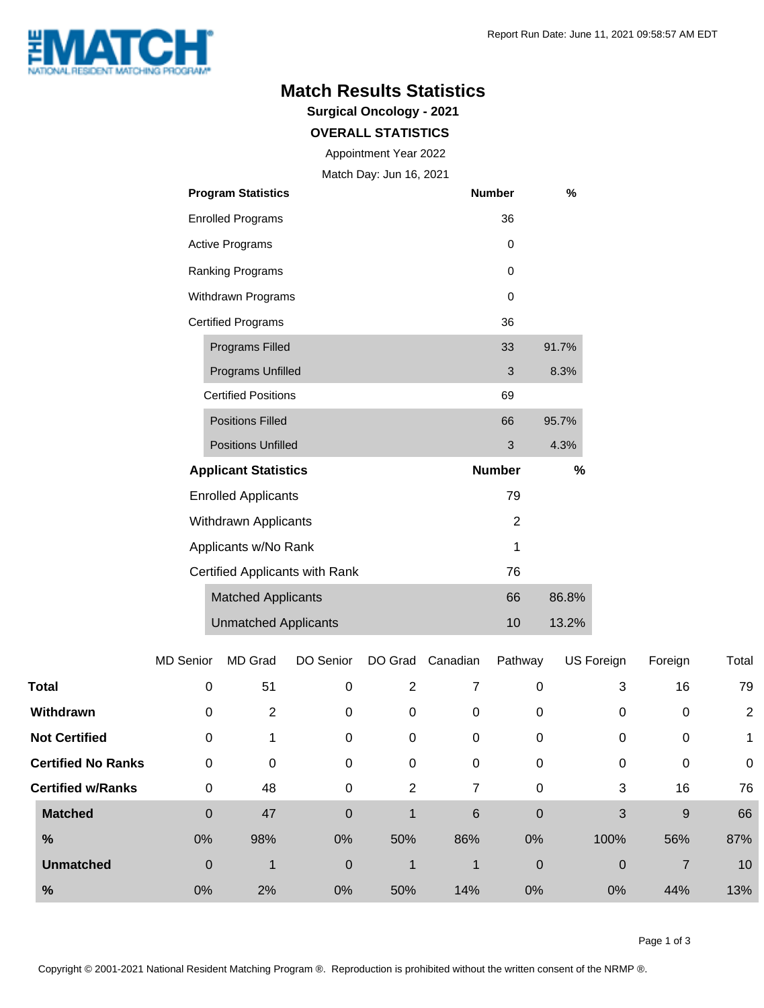

## **Match Results Statistics**

**Surgical Oncology - 2021**

## **OVERALL STATISTICS**

Appointment Year 2022

Match Day: Jun 16, 2021

| <b>Program Statistics</b>      | <b>Number</b> | %     |  |
|--------------------------------|---------------|-------|--|
| <b>Enrolled Programs</b>       | 36            |       |  |
| <b>Active Programs</b>         | 0             |       |  |
| Ranking Programs               | 0             |       |  |
| Withdrawn Programs             | 0             |       |  |
| <b>Certified Programs</b>      | 36            |       |  |
| <b>Programs Filled</b>         | 33            | 91.7% |  |
| Programs Unfilled              | 3             | 8.3%  |  |
| <b>Certified Positions</b>     | 69            |       |  |
| <b>Positions Filled</b>        | 66            | 95.7% |  |
| <b>Positions Unfilled</b>      | 3             | 4.3%  |  |
| <b>Applicant Statistics</b>    | <b>Number</b> | %     |  |
| <b>Enrolled Applicants</b>     | 79            |       |  |
| Withdrawn Applicants           | 2             |       |  |
| Applicants w/No Rank           | 1             |       |  |
| Certified Applicants with Rank | 76            |       |  |
| <b>Matched Applicants</b>      | 66            | 86.8% |  |
| <b>Unmatched Applicants</b>    | 10            | 13.2% |  |

|                           | <b>MD Senior</b> | MD Grad     | DO Senior   | DO Grad | Canadian     | Pathway     | US Foreign   | Foreign     | Total          |
|---------------------------|------------------|-------------|-------------|---------|--------------|-------------|--------------|-------------|----------------|
| <b>Total</b>              | $\mathbf 0$      | 51          | 0           | 2       | 7            | 0           | 3            | 16          | 79             |
| Withdrawn                 | 0                | 2           | 0           | 0       | 0            | 0           | 0            | 0           | $\overline{2}$ |
| <b>Not Certified</b>      | $\mathbf 0$      | 4           | 0           | 0       | 0            | 0           | 0            | $\mathbf 0$ | 1              |
| <b>Certified No Ranks</b> | $\mathbf 0$      | 0           | 0           | 0       | 0            | 0           | 0            | 0           | $\mathbf 0$    |
| <b>Certified w/Ranks</b>  | $\mathbf 0$      | 48          | 0           | 2       | 7            | 0           | 3            | 16          | 76             |
| <b>Matched</b>            | $\mathbf 0$      | 47          | $\mathbf 0$ | 1       | 6            | $\mathbf 0$ | 3            | 9           | 66             |
| $\frac{9}{6}$             | 0%               | 98%         | 0%          | 50%     | 86%          | 0%          | 100%         | 56%         | 87%            |
| <b>Unmatched</b>          | $\mathbf 0$      | $\mathbf 1$ | $\mathbf 0$ | 1       | $\mathbf{1}$ | $\mathbf 0$ | $\mathbf{0}$ | 7           | 10             |
| %                         | 0%               | 2%          | 0%          | 50%     | 14%          | 0%          | 0%           | 44%         | 13%            |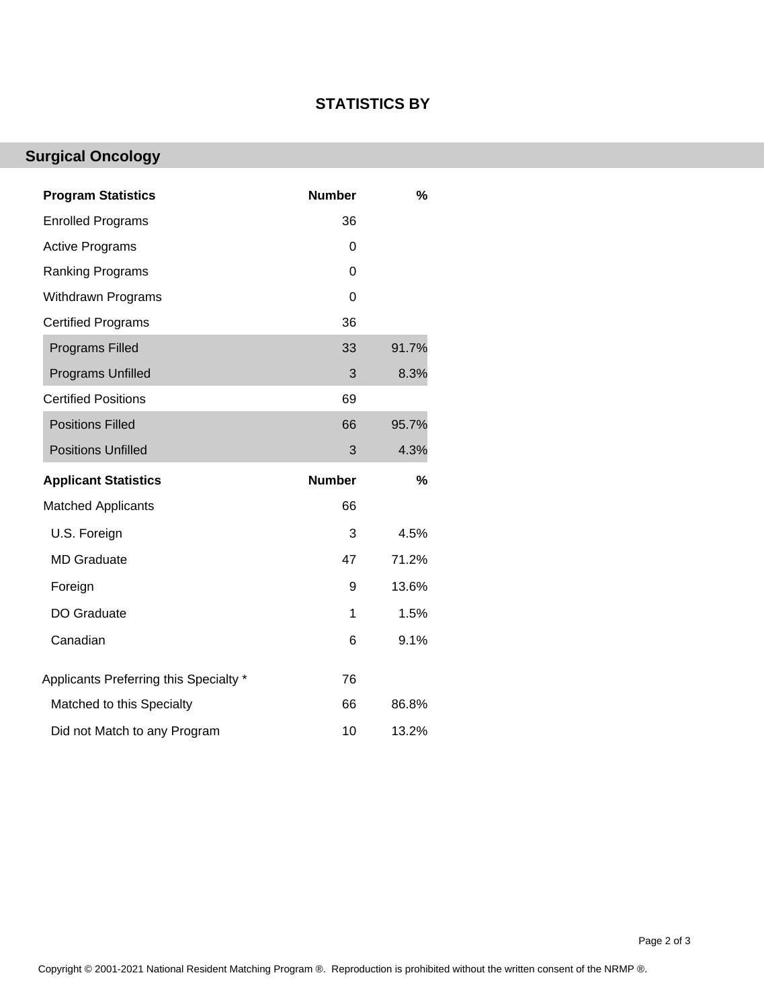## **STATISTICS BY**

## **Surgical Oncology**

| <b>Program Statistics</b>              | <b>Number</b> | %     |
|----------------------------------------|---------------|-------|
| <b>Enrolled Programs</b>               | 36            |       |
| <b>Active Programs</b>                 | 0             |       |
| <b>Ranking Programs</b>                | $\Omega$      |       |
| Withdrawn Programs                     | 0             |       |
| <b>Certified Programs</b>              | 36            |       |
| <b>Programs Filled</b>                 | 33            | 91.7% |
| <b>Programs Unfilled</b>               | 3             | 8.3%  |
| <b>Certified Positions</b>             | 69            |       |
| <b>Positions Filled</b>                | 66            | 95.7% |
| <b>Positions Unfilled</b>              | 3             | 4.3%  |
|                                        |               |       |
| <b>Applicant Statistics</b>            | <b>Number</b> | %     |
| <b>Matched Applicants</b>              | 66            |       |
| U.S. Foreign                           | 3             | 4.5%  |
| <b>MD Graduate</b>                     | 47            | 71.2% |
| Foreign                                | 9             | 13.6% |
| DO Graduate                            | 1             | 1.5%  |
| Canadian                               | 6             | 9.1%  |
| Applicants Preferring this Specialty * | 76            |       |
| Matched to this Specialty              | 66            | 86.8% |